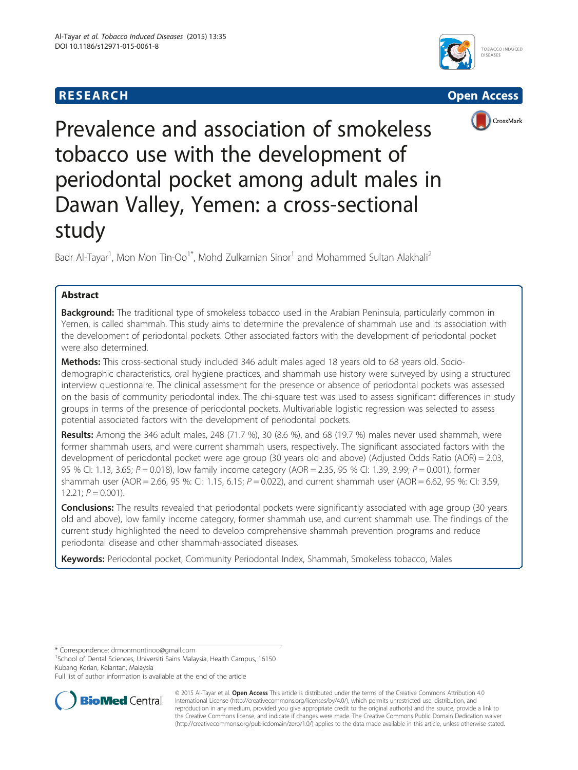





Prevalence and association of smokeless tobacco use with the development of periodontal pocket among adult males in Dawan Valley, Yemen: a cross-sectional study

Badr Al-Tayar<sup>1</sup>, Mon Mon Tin-Oo<sup>1\*</sup>, Mohd Zulkarnian Sinor<sup>1</sup> and Mohammed Sultan Alakhali<sup>2</sup>

# Abstract

**Background:** The traditional type of smokeless tobacco used in the Arabian Peninsula, particularly common in Yemen, is called shammah. This study aims to determine the prevalence of shammah use and its association with the development of periodontal pockets. Other associated factors with the development of periodontal pocket were also determined.

Methods: This cross-sectional study included 346 adult males aged 18 years old to 68 years old. Sociodemographic characteristics, oral hygiene practices, and shammah use history were surveyed by using a structured interview questionnaire. The clinical assessment for the presence or absence of periodontal pockets was assessed on the basis of community periodontal index. The chi-square test was used to assess significant differences in study groups in terms of the presence of periodontal pockets. Multivariable logistic regression was selected to assess potential associated factors with the development of periodontal pockets.

Results: Among the 346 adult males, 248 (71.7 %), 30 (8.6 %), and 68 (19.7 %) males never used shammah, were former shammah users, and were current shammah users, respectively. The significant associated factors with the development of periodontal pocket were age group (30 years old and above) (Adjusted Odds Ratio (AOR) = 2.03, 95 % CI: 1.13, 3.65; P = 0.018), low family income category (AOR = 2.35, 95 % CI: 1.39, 3.99; P = 0.001), former shammah user (AOR = 2.66, 95 %: CI: 1.15, 6.15;  $P = 0.022$ ), and current shammah user (AOR = 6.62, 95 %: CI: 3.59,  $12.21; P = 0.001$ ).

**Conclusions:** The results revealed that periodontal pockets were significantly associated with age group (30 years old and above), low family income category, former shammah use, and current shammah use. The findings of the current study highlighted the need to develop comprehensive shammah prevention programs and reduce periodontal disease and other shammah-associated diseases.

Keywords: Periodontal pocket, Community Periodontal Index, Shammah, Smokeless tobacco, Males

\* Correspondence: [drmonmontinoo@gmail.com](mailto:drmonmontinoo@gmail.com) <sup>1</sup>

<sup>1</sup>School of Dental Sciences, Universiti Sains Malaysia, Health Campus, 16150 Kubang Kerian, Kelantan, Malaysia

Full list of author information is available at the end of the article



© 2015 Al-Tayar et al. Open Access This article is distributed under the terms of the Creative Commons Attribution 4.0 International License [\(http://creativecommons.org/licenses/by/4.0/](http://creativecommons.org/licenses/by/4.0/)), which permits unrestricted use, distribution, and reproduction in any medium, provided you give appropriate credit to the original author(s) and the source, provide a link to the Creative Commons license, and indicate if changes were made. The Creative Commons Public Domain Dedication waiver [\(http://creativecommons.org/publicdomain/zero/1.0/](http://creativecommons.org/publicdomain/zero/1.0/)) applies to the data made available in this article, unless otherwise stated.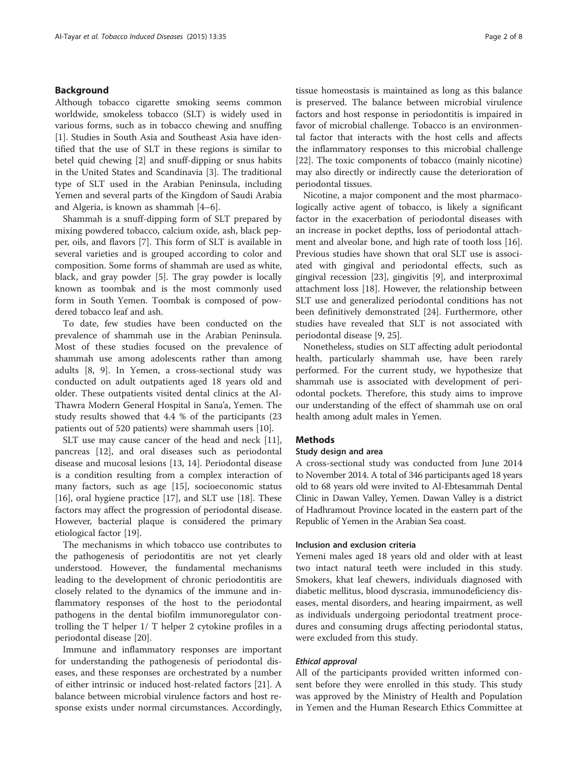## Background

Although tobacco cigarette smoking seems common worldwide, smokeless tobacco (SLT) is widely used in various forms, such as in tobacco chewing and snuffing [[1\]](#page-6-0). Studies in South Asia and Southeast Asia have identified that the use of SLT in these regions is similar to betel quid chewing [[2\]](#page-6-0) and snuff-dipping or snus habits in the United States and Scandinavia [\[3](#page-6-0)]. The traditional type of SLT used in the Arabian Peninsula, including Yemen and several parts of the Kingdom of Saudi Arabia and Algeria, is known as shammah [\[4](#page-6-0)–[6\]](#page-6-0).

Shammah is a snuff-dipping form of SLT prepared by mixing powdered tobacco, calcium oxide, ash, black pepper, oils, and flavors [[7\]](#page-6-0). This form of SLT is available in several varieties and is grouped according to color and composition. Some forms of shammah are used as white, black, and gray powder [\[5](#page-6-0)]. The gray powder is locally known as toombak and is the most commonly used form in South Yemen. Toombak is composed of powdered tobacco leaf and ash.

To date, few studies have been conducted on the prevalence of shammah use in the Arabian Peninsula. Most of these studies focused on the prevalence of shammah use among adolescents rather than among adults [\[8](#page-6-0), [9](#page-6-0)]. In Yemen, a cross-sectional study was conducted on adult outpatients aged 18 years old and older. These outpatients visited dental clinics at the Al-Thawra Modern General Hospital in Sana'a, Yemen. The study results showed that 4.4 % of the participants (23 patients out of 520 patients) were shammah users [\[10\]](#page-6-0).

SLT use may cause cancer of the head and neck [\[11](#page-6-0)], pancreas [[12\]](#page-6-0), and oral diseases such as periodontal disease and mucosal lesions [[13, 14\]](#page-6-0). Periodontal disease is a condition resulting from a complex interaction of many factors, such as age [\[15\]](#page-6-0), socioeconomic status [[16\]](#page-6-0), oral hygiene practice [[17\]](#page-6-0), and SLT use [[18](#page-6-0)]. These factors may affect the progression of periodontal disease. However, bacterial plaque is considered the primary etiological factor [[19\]](#page-6-0).

The mechanisms in which tobacco use contributes to the pathogenesis of periodontitis are not yet clearly understood. However, the fundamental mechanisms leading to the development of chronic periodontitis are closely related to the dynamics of the immune and inflammatory responses of the host to the periodontal pathogens in the dental biofilm immunoregulator controlling the T helper 1/ T helper 2 cytokine profiles in a periodontal disease [\[20](#page-6-0)].

Immune and inflammatory responses are important for understanding the pathogenesis of periodontal diseases, and these responses are orchestrated by a number of either intrinsic or induced host-related factors [\[21\]](#page-6-0). A balance between microbial virulence factors and host response exists under normal circumstances. Accordingly,

tissue homeostasis is maintained as long as this balance is preserved. The balance between microbial virulence factors and host response in periodontitis is impaired in favor of microbial challenge. Tobacco is an environmental factor that interacts with the host cells and affects the inflammatory responses to this microbial challenge [[22\]](#page-6-0). The toxic components of tobacco (mainly nicotine) may also directly or indirectly cause the deterioration of periodontal tissues.

Nicotine, a major component and the most pharmacologically active agent of tobacco, is likely a significant factor in the exacerbation of periodontal diseases with an increase in pocket depths, loss of periodontal attachment and alveolar bone, and high rate of tooth loss [\[16](#page-6-0)]. Previous studies have shown that oral SLT use is associated with gingival and periodontal effects, such as gingival recession [[23](#page-6-0)], gingivitis [[9\]](#page-6-0), and interproximal attachment loss [\[18](#page-6-0)]. However, the relationship between SLT use and generalized periodontal conditions has not been definitively demonstrated [[24\]](#page-6-0). Furthermore, other studies have revealed that SLT is not associated with periodontal disease [\[9](#page-6-0), [25](#page-6-0)].

Nonetheless, studies on SLT affecting adult periodontal health, particularly shammah use, have been rarely performed. For the current study, we hypothesize that shammah use is associated with development of periodontal pockets. Therefore, this study aims to improve our understanding of the effect of shammah use on oral health among adult males in Yemen.

## **Methods**

## Study design and area

A cross-sectional study was conducted from June 2014 to November 2014. A total of 346 participants aged 18 years old to 68 years old were invited to Al-Ebtesammah Dental Clinic in Dawan Valley, Yemen. Dawan Valley is a district of Hadhramout Province located in the eastern part of the Republic of Yemen in the Arabian Sea coast.

#### Inclusion and exclusion criteria

Yemeni males aged 18 years old and older with at least two intact natural teeth were included in this study. Smokers, khat leaf chewers, individuals diagnosed with diabetic mellitus, blood dyscrasia, immunodeficiency diseases, mental disorders, and hearing impairment, as well as individuals undergoing periodontal treatment procedures and consuming drugs affecting periodontal status, were excluded from this study.

#### Ethical approval

All of the participants provided written informed consent before they were enrolled in this study. This study was approved by the Ministry of Health and Population in Yemen and the Human Research Ethics Committee at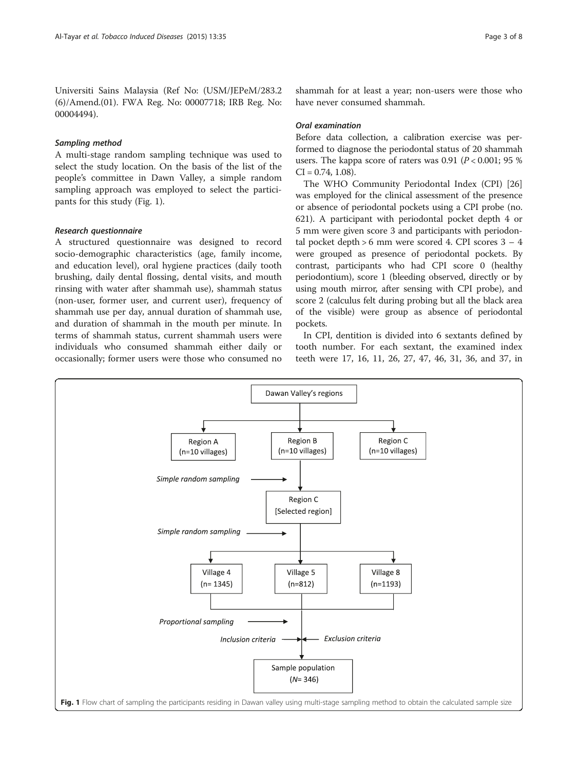Universiti Sains Malaysia (Ref No: (USM/JEPeM/283.2 (6)/Amend.(01). FWA Reg. No: 00007718; IRB Reg. No: 00004494).

## Sampling method

A multi-stage random sampling technique was used to select the study location. On the basis of the list of the people's committee in Dawn Valley, a simple random sampling approach was employed to select the participants for this study (Fig. 1).

### Research questionnaire

A structured questionnaire was designed to record socio-demographic characteristics (age, family income, and education level), oral hygiene practices (daily tooth brushing, daily dental flossing, dental visits, and mouth rinsing with water after shammah use), shammah status (non-user, former user, and current user), frequency of shammah use per day, annual duration of shammah use, and duration of shammah in the mouth per minute. In terms of shammah status, current shammah users were individuals who consumed shammah either daily or occasionally; former users were those who consumed no

shammah for at least a year; non-users were those who have never consumed shammah.

## Oral examination

Before data collection, a calibration exercise was performed to diagnose the periodontal status of 20 shammah users. The kappa score of raters was 0.91 ( $P < 0.001$ ; 95 %)  $CI = 0.74, 1.08$ .

The WHO Community Periodontal Index (CPI) [[26](#page-6-0)] was employed for the clinical assessment of the presence or absence of periodontal pockets using a CPI probe (no. 621). A participant with periodontal pocket depth 4 or 5 mm were given score 3 and participants with periodontal pocket depth > 6 mm were scored 4. CPI scores 3 – 4 were grouped as presence of periodontal pockets. By contrast, participants who had CPI score 0 (healthy periodontium), score 1 (bleeding observed, directly or by using mouth mirror, after sensing with CPI probe), and score 2 (calculus felt during probing but all the black area of the visible) were group as absence of periodontal pockets.

In CPI, dentition is divided into 6 sextants defined by tooth number. For each sextant, the examined index teeth were 17, 16, 11, 26, 27, 47, 46, 31, 36, and 37, in

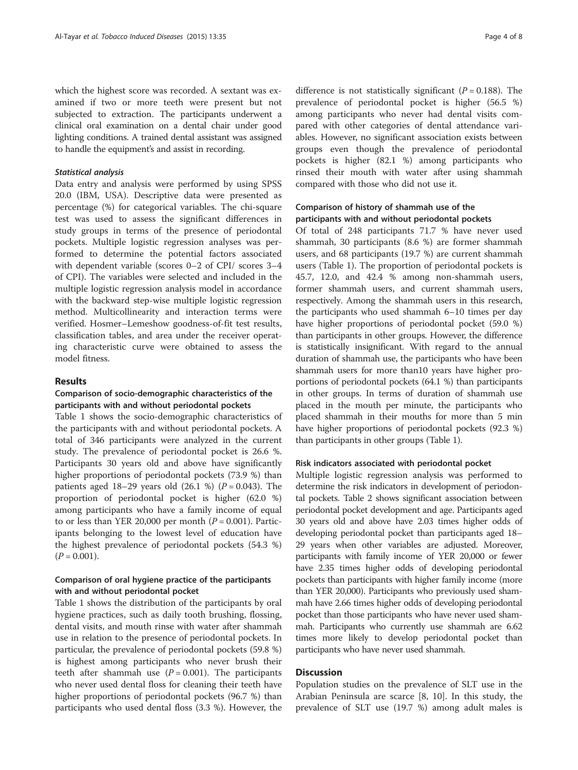which the highest score was recorded. A sextant was examined if two or more teeth were present but not subjected to extraction. The participants underwent a clinical oral examination on a dental chair under good lighting conditions. A trained dental assistant was assigned to handle the equipment's and assist in recording.

#### Statistical analysis

Data entry and analysis were performed by using SPSS 20.0 (IBM, USA). Descriptive data were presented as percentage (%) for categorical variables. The chi-square test was used to assess the significant differences in study groups in terms of the presence of periodontal pockets. Multiple logistic regression analyses was performed to determine the potential factors associated with dependent variable (scores 0–2 of CPI/ scores 3–4 of CPI). The variables were selected and included in the multiple logistic regression analysis model in accordance with the backward step-wise multiple logistic regression method. Multicollinearity and interaction terms were verified. Hosmer–Lemeshow goodness-of-fit test results, classification tables, and area under the receiver operating characteristic curve were obtained to assess the model fitness.

### Results

## Comparison of socio-demographic characteristics of the participants with and without periodontal pockets

Table [1](#page-4-0) shows the socio-demographic characteristics of the participants with and without periodontal pockets. A total of 346 participants were analyzed in the current study. The prevalence of periodontal pocket is 26.6 %. Participants 30 years old and above have significantly higher proportions of periodontal pockets (73.9 %) than patients aged 18–29 years old  $(26.1 \%) (P = 0.043)$ . The proportion of periodontal pocket is higher (62.0 %) among participants who have a family income of equal to or less than YER 20,000 per month ( $P = 0.001$ ). Participants belonging to the lowest level of education have the highest prevalence of periodontal pockets (54.3 %)  $(P = 0.001)$ .

## Comparison of oral hygiene practice of the participants with and without periodontal pocket

Table [1](#page-4-0) shows the distribution of the participants by oral hygiene practices, such as daily tooth brushing, flossing, dental visits, and mouth rinse with water after shammah use in relation to the presence of periodontal pockets. In particular, the prevalence of periodontal pockets (59.8 %) is highest among participants who never brush their teeth after shammah use  $(P = 0.001)$ . The participants who never used dental floss for cleaning their teeth have higher proportions of periodontal pockets (96.7 %) than participants who used dental floss (3.3 %). However, the

difference is not statistically significant ( $P = 0.188$ ). The prevalence of periodontal pocket is higher (56.5 %) among participants who never had dental visits compared with other categories of dental attendance variables. However, no significant association exists between groups even though the prevalence of periodontal pockets is higher (82.1 %) among participants who rinsed their mouth with water after using shammah compared with those who did not use it.

## Comparison of history of shammah use of the participants with and without periodontal pockets

Of total of 248 participants 71.7 % have never used shammah, 30 participants (8.6 %) are former shammah users, and 68 participants (19.7 %) are current shammah users (Table [1](#page-4-0)). The proportion of periodontal pockets is 45.7, 12.0, and 42.4 % among non-shammah users, former shammah users, and current shammah users, respectively. Among the shammah users in this research, the participants who used shammah 6–10 times per day have higher proportions of periodontal pocket (59.0 %) than participants in other groups. However, the difference is statistically insignificant. With regard to the annual duration of shammah use, the participants who have been shammah users for more than10 years have higher proportions of periodontal pockets (64.1 %) than participants in other groups. In terms of duration of shammah use placed in the mouth per minute, the participants who placed shammah in their mouths for more than 5 min have higher proportions of periodontal pockets (92.3 %) than participants in other groups (Table [1](#page-4-0)).

#### Risk indicators associated with periodontal pocket

Multiple logistic regression analysis was performed to determine the risk indicators in development of periodontal pockets. Table [2](#page-5-0) shows significant association between periodontal pocket development and age. Participants aged 30 years old and above have 2.03 times higher odds of developing periodontal pocket than participants aged 18– 29 years when other variables are adjusted. Moreover, participants with family income of YER 20,000 or fewer have 2.35 times higher odds of developing periodontal pockets than participants with higher family income (more than YER 20,000). Participants who previously used shammah have 2.66 times higher odds of developing periodontal pocket than those participants who have never used shammah. Participants who currently use shammah are 6.62 times more likely to develop periodontal pocket than participants who have never used shammah.

## **Discussion**

Population studies on the prevalence of SLT use in the Arabian Peninsula are scarce [\[8](#page-6-0), [10\]](#page-6-0). In this study, the prevalence of SLT use (19.7 %) among adult males is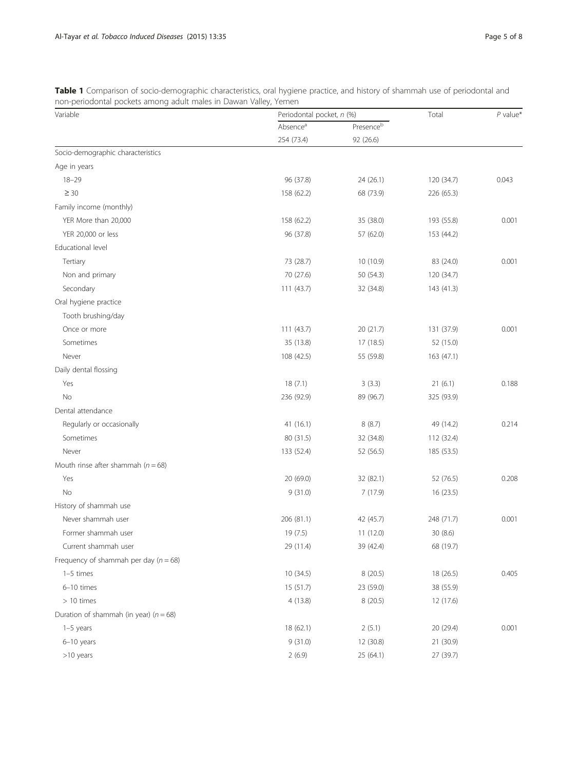| Variable                                   | Periodontal pocket, n (%)          |                        | Total      | $P$ value* |
|--------------------------------------------|------------------------------------|------------------------|------------|------------|
|                                            | Absence <sup>a</sup><br>254 (73.4) | Presenceb<br>92 (26.6) |            |            |
|                                            |                                    |                        |            |            |
| Age in years                               |                                    |                        |            |            |
| $18 - 29$                                  | 96 (37.8)                          | 24 (26.1)              | 120 (34.7) | 0.043      |
| $\geq 30$                                  | 158 (62.2)                         | 68 (73.9)              | 226 (65.3) |            |
| Family income (monthly)                    |                                    |                        |            |            |
| YER More than 20,000                       | 158 (62.2)                         | 35 (38.0)              | 193 (55.8) | 0.001      |
| YER 20,000 or less                         | 96 (37.8)                          | 57 (62.0)              | 153 (44.2) |            |
| Educational level                          |                                    |                        |            |            |
| Tertiary                                   | 73 (28.7)                          | 10 (10.9)              | 83 (24.0)  | 0.001      |
| Non and primary                            | 70 (27.6)                          | 50 (54.3)              | 120 (34.7) |            |
| Secondary                                  | 111 (43.7)                         | 32 (34.8)              | 143 (41.3) |            |
| Oral hygiene practice                      |                                    |                        |            |            |
| Tooth brushing/day                         |                                    |                        |            |            |
| Once or more                               | 111 (43.7)                         | 20 (21.7)              | 131 (37.9) | 0.001      |
| Sometimes                                  | 35 (13.8)                          | 17 (18.5)              | 52 (15.0)  |            |
| Never                                      | 108 (42.5)                         | 55 (59.8)              | 163 (47.1) |            |
| Daily dental flossing                      |                                    |                        |            |            |
| Yes                                        | 18(7.1)                            | 3(3.3)                 | 21(6.1)    | 0.188      |
| No                                         | 236 (92.9)                         | 89 (96.7)              | 325 (93.9) |            |
| Dental attendance                          |                                    |                        |            |            |
| Regularly or occasionally                  | 41 (16.1)                          | 8(8.7)                 | 49 (14.2)  | 0.214      |
| Sometimes                                  | 80 (31.5)                          | 32 (34.8)              | 112 (32.4) |            |
| Never                                      | 133 (52.4)                         | 52 (56.5)              | 185 (53.5) |            |
| Mouth rinse after shammah ( $n = 68$ )     |                                    |                        |            |            |
| Yes                                        | 20 (69.0)                          | 32 (82.1)              | 52 (76.5)  | 0.208      |
| No                                         | 9(31.0)                            | 7(17.9)                | 16(23.5)   |            |
| History of shammah use                     |                                    |                        |            |            |
| Never shammah user                         | 206 (81.1)                         | 42 (45.7)              | 248 (71.7) | 0.001      |
| Former shammah user                        | 19 (7.5)                           | 11 (12.0)              | 30 (8.6)   |            |
| Current shammah user                       | 29 (11.4)                          | 39 (42.4)              | 68 (19.7)  |            |
| Frequency of shammah per day ( $n = 68$ )  |                                    |                        |            |            |
| 1-5 times                                  | 10 (34.5)                          | 8 (20.5)               | 18 (26.5)  | 0.405      |
| 6-10 times                                 | 15 (51.7)                          | 23 (59.0)              | 38 (55.9)  |            |
| $>10$ times                                | 4(13.8)                            | 8(20.5)                | 12 (17.6)  |            |
| Duration of shammah (in year) ( $n = 68$ ) |                                    |                        |            |            |
| $1-5$ years                                | 18 (62.1)                          | 2(5.1)                 | 20 (29.4)  | 0.001      |
| $6-10$ years                               | 9(31.0)                            | 12 (30.8)              | 21 (30.9)  |            |
| >10 years                                  | 2(6.9)                             | 25 (64.1)              | 27 (39.7)  |            |

<span id="page-4-0"></span>Table 1 Comparison of socio-demographic characteristics, oral hygiene practice, and history of shammah use of periodontal and non-periodontal pockets among adult males in Dawan Valley, Yemen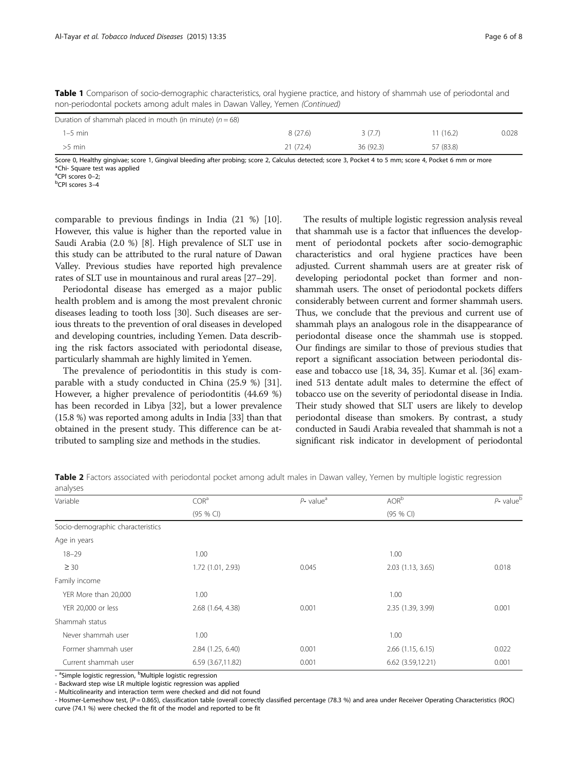| non-periodontal pockets among adult males in Dawan Valley, Yemen (Continued) |          |          |           |       |  |  |  |
|------------------------------------------------------------------------------|----------|----------|-----------|-------|--|--|--|
| Duration of shammah placed in mouth (in minute) ( $n = 68$ )                 |          |          |           |       |  |  |  |
| 1–5 min                                                                      | 8 (27.6) | 3 (7.7)  | 11(16.2)  | 0.028 |  |  |  |
| $>5$ min                                                                     | 21(72.4) | 36(92.3) | 57 (83.8) |       |  |  |  |

<span id="page-5-0"></span>Table 1 Comparison of socio-demographic characteristics, oral hygiene practice, and history of shammah use of periodontal and<br>References that the solution and the probability Denne Vellus Veneze (Centiused) non-periodontal pockets among adult males in Dawan Valley, Yemen (Continued)

Score 0, Healthy gingivae; score 1, Gingival bleeding after probing; score 2, Calculus detected; score 3, Pocket 4 to 5 mm; score 4, Pocket 6 mm or more \*Chi- Square test was applied

<sup>a</sup>CPI scores 0–2;<br><sup>b</sup>CPI scores 3–4

CPI scores 3–4

comparable to previous findings in India (21 %) [\[10](#page-6-0)]. However, this value is higher than the reported value in Saudi Arabia (2.0 %) [\[8](#page-6-0)]. High prevalence of SLT use in this study can be attributed to the rural nature of Dawan Valley. Previous studies have reported high prevalence rates of SLT use in mountainous and rural areas [\[27](#page-6-0)–[29\]](#page-7-0).

Periodontal disease has emerged as a major public health problem and is among the most prevalent chronic diseases leading to tooth loss [[30](#page-7-0)]. Such diseases are serious threats to the prevention of oral diseases in developed and developing countries, including Yemen. Data describing the risk factors associated with periodontal disease, particularly shammah are highly limited in Yemen.

The prevalence of periodontitis in this study is comparable with a study conducted in China (25.9 %) [\[31](#page-7-0)]. However, a higher prevalence of periodontitis (44.69 %) has been recorded in Libya [\[32\]](#page-7-0), but a lower prevalence (15.8 %) was reported among adults in India [[33](#page-7-0)] than that obtained in the present study. This difference can be attributed to sampling size and methods in the studies.

The results of multiple logistic regression analysis reveal that shammah use is a factor that influences the development of periodontal pockets after socio-demographic characteristics and oral hygiene practices have been adjusted. Current shammah users are at greater risk of developing periodontal pocket than former and nonshammah users. The onset of periodontal pockets differs considerably between current and former shammah users. Thus, we conclude that the previous and current use of shammah plays an analogous role in the disappearance of periodontal disease once the shammah use is stopped. Our findings are similar to those of previous studies that report a significant association between periodontal disease and tobacco use [\[18,](#page-6-0) [34, 35](#page-7-0)]. Kumar et al. [\[36\]](#page-7-0) examined 513 dentate adult males to determine the effect of tobacco use on the severity of periodontal disease in India. Their study showed that SLT users are likely to develop periodontal disease than smokers. By contrast, a study conducted in Saudi Arabia revealed that shammah is not a significant risk indicator in development of periodontal

Table 2 Factors associated with periodontal pocket among adult males in Dawan valley, Yemen by multiple logistic regression analyses

| Variable                               | COR <sup>a</sup>  | $P$ - value <sup>a</sup> | AOR <sup>b</sup>  | $P$ - value $b$ |
|----------------------------------------|-------------------|--------------------------|-------------------|-----------------|
|                                        | (95 % CI)         |                          | (95 % C)          |                 |
| Socio-demographic characteristics      |                   |                          |                   |                 |
| Age in years                           |                   |                          |                   |                 |
| $18 - 29$                              | 1.00              |                          | 1.00              |                 |
| $\geq 30$                              | 1.72 (1.01, 2.93) | 0.045                    | 2.03(1.13, 3.65)  | 0.018           |
| Family income                          |                   |                          |                   |                 |
| YER More than 20,000                   | 1.00              |                          | 1.00              |                 |
| YER 20,000 or less                     | 2.68 (1.64, 4.38) | 0.001                    | 2.35 (1.39, 3.99) | 0.001           |
| Shammah status                         |                   |                          |                   |                 |
| Never shammah user                     | 1.00              |                          | 1.00              |                 |
| Former shammah user                    | 2.84 (1.25, 6.40) | 0.001                    | 2.66 (1.15, 6.15) | 0.022           |
| Current shammah user<br>$\overline{a}$ | 6.59 (3.67,11.82) | 0.001                    | 6.62 (3.59,12.21) | 0.001           |

- <sup>a</sup>Simple logistic regression, <sup>b</sup>Multiple logistic regression

- Backward step wise LR multiple logistic regression was applied

- Multicolinearity and interaction term were checked and did not found

- Hosmer-Lemeshow test, (P = 0.865), classification table (overall correctly classified percentage (78.3 %) and area under Receiver Operating Characteristics (ROC) curve (74.1 %) were checked the fit of the model and reported to be fit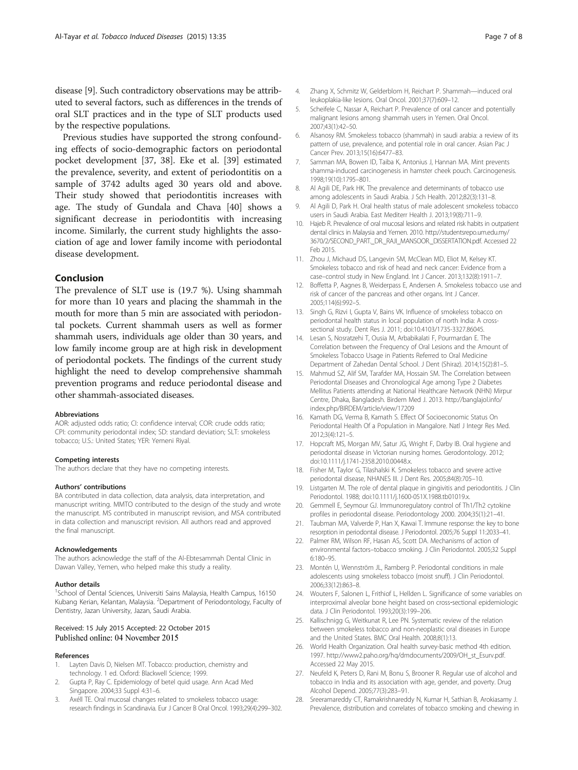<span id="page-6-0"></span>disease [9]. Such contradictory observations may be attributed to several factors, such as differences in the trends of oral SLT practices and in the type of SLT products used by the respective populations.

Previous studies have supported the strong confounding effects of socio-demographic factors on periodontal pocket development [[37, 38](#page-7-0)]. Eke et al. [[39](#page-7-0)] estimated the prevalence, severity, and extent of periodontitis on a sample of 3742 adults aged 30 years old and above. Their study showed that periodontitis increases with age. The study of Gundala and Chava [[40\]](#page-7-0) shows a significant decrease in periodontitis with increasing income. Similarly, the current study highlights the association of age and lower family income with periodontal disease development.

## Conclusion

The prevalence of SLT use is (19.7 %). Using shammah for more than 10 years and placing the shammah in the mouth for more than 5 min are associated with periodontal pockets. Current shammah users as well as former shammah users, individuals age older than 30 years, and low family income group are at high risk in development of periodontal pockets. The findings of the current study highlight the need to develop comprehensive shammah prevention programs and reduce periodontal disease and other shammah-associated diseases.

#### **Abbreviations**

AOR: adjusted odds ratio; CI: confidence interval; COR: crude odds ratio; CPI: community periodontal index; SD: standard deviation; SLT: smokeless tobacco; U.S.: United States; YER: Yemeni Riyal.

#### Competing interests

The authors declare that they have no competing interests.

#### Authors' contributions

BA contributed in data collection, data analysis, data interpretation, and manuscript writing. MMTO contributed to the design of the study and wrote the manuscript. MS contributed in manuscript revision, and MSA contributed in data collection and manuscript revision. All authors read and approved the final manuscript.

#### Acknowledgements

The authors acknowledge the staff of the Al-Ebtesammah Dental Clinic in Dawan Valley, Yemen, who helped make this study a reality.

#### Author details

<sup>1</sup>School of Dental Sciences, Universiti Sains Malaysia, Health Campus, 16150 Kubang Kerian, Kelantan, Malaysia. <sup>2</sup>Department of Periodontology, Faculty of Dentistry, Jazan University, Jazan, Saudi Arabia.

#### Received: 15 July 2015 Accepted: 22 October 2015 Published online: 04 November 2015

#### References

- 1. Layten Davis D, Nielsen MT. Tobacco: production, chemistry and technology. 1 ed. Oxford: Blackwell Science; 1999.
- 2. Gupta P, Ray C. Epidemiology of betel quid usage. Ann Acad Med Singapore. 2004;33 Suppl 4:31–6.
- 3. Axéll TE. Oral mucosal changes related to smokeless tobacco usage: research findings in Scandinavia. Eur J Cancer B Oral Oncol. 1993;29(4):299–302.
- 4. Zhang X, Schmitz W, Gelderblom H, Reichart P. Shammah—induced oral leukoplakia-like lesions. Oral Oncol. 2001;37(7):609–12.
- 5. Scheifele C, Nassar A, Reichart P. Prevalence of oral cancer and potentially malignant lesions among shammah users in Yemen. Oral Oncol. 2007;43(1):42–50.
- 6. Alsanosy RM. Smokeless tobacco (shammah) in saudi arabia: a review of its pattern of use, prevalence, and potential role in oral cancer. Asian Pac J Cancer Prev. 2013;15(16):6477–83.
- 7. Samman MA, Bowen ID, Taiba K, Antonius J, Hannan MA. Mint prevents shamma-induced carcinogenesis in hamster cheek pouch. Carcinogenesis. 1998;19(10):1795–801.
- 8. Al Agili DE, Park HK. The prevalence and determinants of tobacco use among adolescents in Saudi Arabia. J Sch Health. 2012;82(3):131–8.
- 9. Al Agili D, Park H. Oral health status of male adolescent smokeless tobacco users in Saudi Arabia. East Mediterr Health J. 2013;19(8):711–9.
- 10. Hajeb R. Prevalence of oral mucosal lesions and related risk habits in outpatient dental clinics in Malaysia and Yemen. 2010. [http://studentsrepo.um.edu.my/](http://studentsrepo.um.edu.my/3670/2/SECOND_PART._DR._RAJI_MANSOOR._DISSERTATION.pdf) [3670/2/SECOND\\_PART.\\_DR.\\_RAJI\\_MANSOOR.\\_DISSERTATION.pdf.](http://studentsrepo.um.edu.my/3670/2/SECOND_PART._DR._RAJI_MANSOOR._DISSERTATION.pdf) Accessed 22 Feb 2015.
- 11. Zhou J, Michaud DS, Langevin SM, McClean MD, Eliot M, Kelsey KT. Smokeless tobacco and risk of head and neck cancer: Evidence from a case–control study in New England. Int J Cancer. 2013;132(8):1911–7.
- 12. Boffetta P, Aagnes B, Weiderpass E, Andersen A. Smokeless tobacco use and risk of cancer of the pancreas and other organs. Int J Cancer. 2005;114(6):992–5.
- 13. Singh G, Rizvi I, Gupta V, Bains VK. Influence of smokeless tobacco on periodontal health status in local population of north India: A crosssectional study. Dent Res J. 2011; doi[:10.4103/1735-3327.86045](http://dx.doi.org/10.4103/1735-3327.86045).
- 14. Lesan S, Nosratzehi T, Ousia M, Arbabikalati F, Pourmardan E. The Correlation between the Frequency of Oral Lesions and the Amount of Smokeless Tobacco Usage in Patients Referred to Oral Medicine Department of Zahedan Dental School. J Dent (Shiraz). 2014;15(2):81–5.
- 15. Mahmud SZ, Alif SM, Tarafder MA, Hossain SM. The Correlation between Periodontal Diseases and Chronological Age among Type 2 Diabetes Mellitus Patients attending at National Healthcare Network (NHN) Mirpur Centre, Dhaka, Bangladesh. Birdem Med J. 2013. [http://banglajol.info/](http://banglajol.info/index.php/BIRDEM/article/view/17209) [index.php/BIRDEM/article/view/17209](http://banglajol.info/index.php/BIRDEM/article/view/17209)
- 16. Kamath DG, Verma B, Kamath S. Effect Of Socioeconomic Status On Periodontal Health Of a Population in Mangalore. Natl J Integr Res Med. 2012;3(4):121–5.
- 17. Hopcraft MS, Morgan MV, Satur JG, Wright F, Darby IB. Oral hygiene and periodontal disease in Victorian nursing homes. Gerodontology. 2012; doi[:10.1111/j.1741-2358.2010.00448.x](http://dx.doi.org/10.1111/j.1741-2358.2010.00448.x).
- 18. Fisher M, Taylor G, Tilashalski K. Smokeless tobacco and severe active periodontal disease, NHANES III. J Dent Res. 2005;84(8):705–10.
- 19. Listgarten M. The role of dental plaque in gingivitis and periodontitis. J Clin Periodontol. 1988; doi[:10.1111/j.1600-051X.1988.tb01019.x](http://dx.doi.org/10.1111/j.1600-051X.1988.tb01019.x).
- 20. Gemmell E, Seymour GJ. Immunoregulatory control of Th1/Th2 cytokine profiles in periodontal disease. Periodontology 2000. 2004;35(1):21–41.
- 21. Taubman MA, Valverde P, Han X, Kawai T. Immune response: the key to bone resorption in periodontal disease. J Periodontol. 2005;76 Suppl 11:2033–41.
- 22. Palmer RM, Wilson RF, Hasan AS, Scott DA. Mechanisms of action of environmental factors–tobacco smoking. J Clin Periodontol. 2005;32 Suppl 6:180–95.
- 23. Montén U, Wennström JL, Ramberg P. Periodontal conditions in male adolescents using smokeless tobacco (moist snuff). J Clin Periodontol. 2006;33(12):863–8.
- 24. Wouters F, Salonen L, Frithiof L, Hellden L. Significance of some variables on interproximal alveolar bone height based on cross-sectional epidemiologic data. J Clin Periodontol. 1993;20(3):199–206.
- 25. Kallischnigg G, Weitkunat R, Lee PN. Systematic review of the relation between smokeless tobacco and non-neoplastic oral diseases in Europe and the United States. BMC Oral Health. 2008;8(1):13.
- 26. World Health Organization. Oral health survey-basic method 4th edition. 1997. [http://www2.paho.org/hq/dmdocuments/2009/OH\\_st\\_Esurv.pdf.](http://www2.paho.org/hq/dmdocuments/2009/OH_st_Esurv.pdf) Accessed 22 May 2015.
- 27. Neufeld K, Peters D, Rani M, Bonu S, Brooner R. Regular use of alcohol and tobacco in India and its association with age, gender, and poverty. Drug Alcohol Depend. 2005;77(3):283–91.
- 28. Sreeramareddy CT, Ramakrishnareddy N, Kumar H, Sathian B, Arokiasamy J. Prevalence, distribution and correlates of tobacco smoking and chewing in